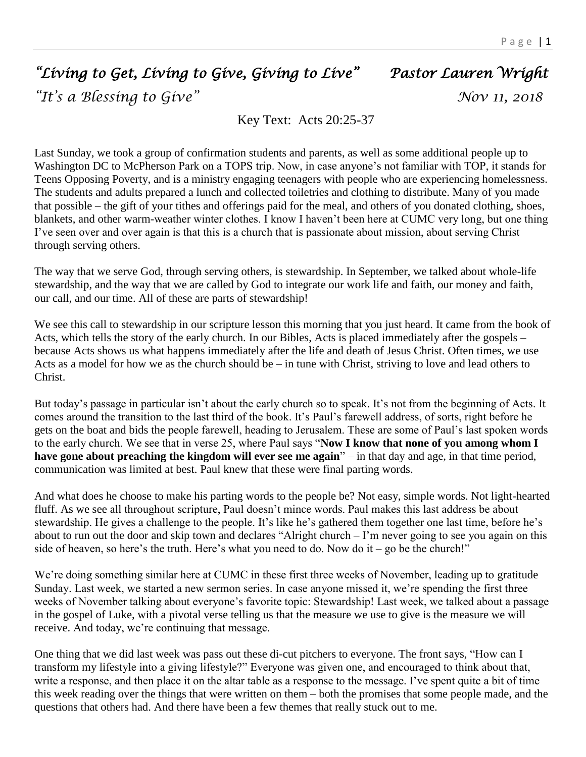## *"Living to Get, Living to Give, Giving to Live" Pastor Lauren Wright "It's a Blessing to Give" Nov 11, 2018*

Key Text: Acts 20:25-37

Last Sunday, we took a group of confirmation students and parents, as well as some additional people up to Washington DC to McPherson Park on a TOPS trip. Now, in case anyone's not familiar with TOP, it stands for Teens Opposing Poverty, and is a ministry engaging teenagers with people who are experiencing homelessness. The students and adults prepared a lunch and collected toiletries and clothing to distribute. Many of you made that possible – the gift of your tithes and offerings paid for the meal, and others of you donated clothing, shoes, blankets, and other warm-weather winter clothes. I know I haven't been here at CUMC very long, but one thing I've seen over and over again is that this is a church that is passionate about mission, about serving Christ through serving others.

The way that we serve God, through serving others, is stewardship. In September, we talked about whole-life stewardship, and the way that we are called by God to integrate our work life and faith, our money and faith, our call, and our time. All of these are parts of stewardship!

We see this call to stewardship in our scripture lesson this morning that you just heard. It came from the book of Acts, which tells the story of the early church. In our Bibles, Acts is placed immediately after the gospels – because Acts shows us what happens immediately after the life and death of Jesus Christ. Often times, we use Acts as a model for how we as the church should be – in tune with Christ, striving to love and lead others to Christ.

But today's passage in particular isn't about the early church so to speak. It's not from the beginning of Acts. It comes around the transition to the last third of the book. It's Paul's farewell address, of sorts, right before he gets on the boat and bids the people farewell, heading to Jerusalem. These are some of Paul's last spoken words to the early church. We see that in verse 25, where Paul says "**Now I know that none of you among whom I have gone about preaching the kingdom will ever see me again**" – in that day and age, in that time period, communication was limited at best. Paul knew that these were final parting words.

And what does he choose to make his parting words to the people be? Not easy, simple words. Not light-hearted fluff. As we see all throughout scripture, Paul doesn't mince words. Paul makes this last address be about stewardship. He gives a challenge to the people. It's like he's gathered them together one last time, before he's about to run out the door and skip town and declares "Alright church – I'm never going to see you again on this side of heaven, so here's the truth. Here's what you need to do. Now do it – go be the church!"

We're doing something similar here at CUMC in these first three weeks of November, leading up to gratitude Sunday. Last week, we started a new sermon series. In case anyone missed it, we're spending the first three weeks of November talking about everyone's favorite topic: Stewardship! Last week, we talked about a passage in the gospel of Luke, with a pivotal verse telling us that the measure we use to give is the measure we will receive. And today, we're continuing that message.

One thing that we did last week was pass out these di-cut pitchers to everyone. The front says, "How can I transform my lifestyle into a giving lifestyle?" Everyone was given one, and encouraged to think about that, write a response, and then place it on the altar table as a response to the message. I've spent quite a bit of time this week reading over the things that were written on them – both the promises that some people made, and the questions that others had. And there have been a few themes that really stuck out to me.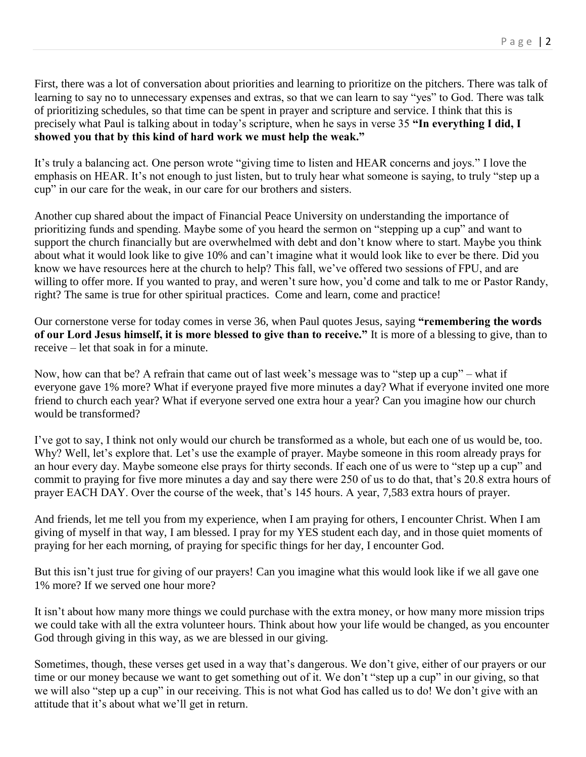First, there was a lot of conversation about priorities and learning to prioritize on the pitchers. There was talk of learning to say no to unnecessary expenses and extras, so that we can learn to say "yes" to God. There was talk of prioritizing schedules, so that time can be spent in prayer and scripture and service. I think that this is precisely what Paul is talking about in today's scripture, when he says in verse 35 **"In everything I did, I showed you that by this kind of hard work we must help the weak."** 

It's truly a balancing act. One person wrote "giving time to listen and HEAR concerns and joys." I love the emphasis on HEAR. It's not enough to just listen, but to truly hear what someone is saying, to truly "step up a cup" in our care for the weak, in our care for our brothers and sisters.

Another cup shared about the impact of Financial Peace University on understanding the importance of prioritizing funds and spending. Maybe some of you heard the sermon on "stepping up a cup" and want to support the church financially but are overwhelmed with debt and don't know where to start. Maybe you think about what it would look like to give 10% and can't imagine what it would look like to ever be there. Did you know we have resources here at the church to help? This fall, we've offered two sessions of FPU, and are willing to offer more. If you wanted to pray, and weren't sure how, you'd come and talk to me or Pastor Randy, right? The same is true for other spiritual practices. Come and learn, come and practice!

Our cornerstone verse for today comes in verse 36, when Paul quotes Jesus, saying **"remembering the words of our Lord Jesus himself, it is more blessed to give than to receive."** It is more of a blessing to give, than to receive – let that soak in for a minute.

Now, how can that be? A refrain that came out of last week's message was to "step up a cup" – what if everyone gave 1% more? What if everyone prayed five more minutes a day? What if everyone invited one more friend to church each year? What if everyone served one extra hour a year? Can you imagine how our church would be transformed?

I've got to say, I think not only would our church be transformed as a whole, but each one of us would be, too. Why? Well, let's explore that. Let's use the example of prayer. Maybe someone in this room already prays for an hour every day. Maybe someone else prays for thirty seconds. If each one of us were to "step up a cup" and commit to praying for five more minutes a day and say there were 250 of us to do that, that's 20.8 extra hours of prayer EACH DAY. Over the course of the week, that's 145 hours. A year, 7,583 extra hours of prayer.

And friends, let me tell you from my experience, when I am praying for others, I encounter Christ. When I am giving of myself in that way, I am blessed. I pray for my YES student each day, and in those quiet moments of praying for her each morning, of praying for specific things for her day, I encounter God.

But this isn't just true for giving of our prayers! Can you imagine what this would look like if we all gave one 1% more? If we served one hour more?

It isn't about how many more things we could purchase with the extra money, or how many more mission trips we could take with all the extra volunteer hours. Think about how your life would be changed, as you encounter God through giving in this way, as we are blessed in our giving.

Sometimes, though, these verses get used in a way that's dangerous. We don't give, either of our prayers or our time or our money because we want to get something out of it. We don't "step up a cup" in our giving, so that we will also "step up a cup" in our receiving. This is not what God has called us to do! We don't give with an attitude that it's about what we'll get in return.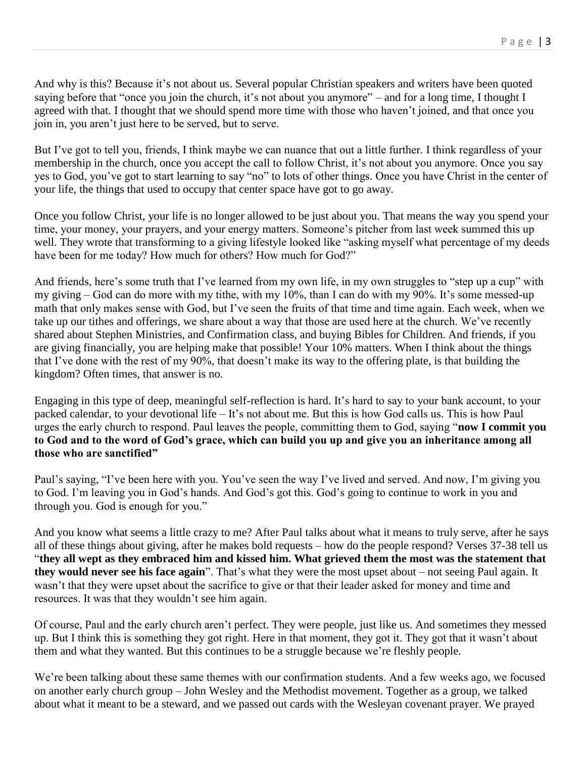And why is this? Because it's not about us. Several popular Christian speakers and writers have been quoted saying before that "once you join the church, it's not about you anymore" – and for a long time, I thought I agreed with that. I thought that we should spend more time with those who haven't joined, and that once you join in, you aren't just here to be served, but to serve.

But I've got to tell you, friends, I think maybe we can nuance that out a little further. I think regardless of your membership in the church, once you accept the call to follow Christ, it's not about you anymore. Once you say yes to God, you've got to start learning to say "no" to lots of other things. Once you have Christ in the center of your life, the things that used to occupy that center space have got to go away.

Once you follow Christ, your life is no longer allowed to be just about you. That means the way you spend your time, your money, your prayers, and your energy matters. Someone's pitcher from last week summed this up well. They wrote that transforming to a giving lifestyle looked like "asking myself what percentage of my deeds have been for me today? How much for others? How much for God?"

And friends, here's some truth that I've learned from my own life, in my own struggles to "step up a cup" with my giving – God can do more with my tithe, with my 10%, than I can do with my 90%. It's some messed-up math that only makes sense with God, but I've seen the fruits of that time and time again. Each week, when we take up our tithes and offerings, we share about a way that those are used here at the church. We've recently shared about Stephen Ministries, and Confirmation class, and buying Bibles for Children. And friends, if you are giving financially, you are helping make that possible! Your 10% matters. When I think about the things that I've done with the rest of my 90%, that doesn't make its way to the offering plate, is that building the kingdom? Often times, that answer is no.

Engaging in this type of deep, meaningful self-reflection is hard. It's hard to say to your bank account, to your packed calendar, to your devotional life – It's not about me. But this is how God calls us. This is how Paul urges the early church to respond. Paul leaves the people, committing them to God, saying "**now I commit you to God and to the word of God's grace, which can build you up and give you an inheritance among all those who are sanctified"**

Paul's saying, "I've been here with you. You've seen the way I've lived and served. And now, I'm giving you to God. I'm leaving you in God's hands. And God's got this. God's going to continue to work in you and through you. God is enough for you."

And you know what seems a little crazy to me? After Paul talks about what it means to truly serve, after he says all of these things about giving, after he makes bold requests – how do the people respond? Verses 37-38 tell us "**they all wept as they embraced him and kissed him. What grieved them the most was the statement that they would never see his face again**". That's what they were the most upset about – not seeing Paul again. It wasn't that they were upset about the sacrifice to give or that their leader asked for money and time and resources. It was that they wouldn't see him again.

Of course, Paul and the early church aren't perfect. They were people, just like us. And sometimes they messed up. But I think this is something they got right. Here in that moment, they got it. They got that it wasn't about them and what they wanted. But this continues to be a struggle because we're fleshly people.

We're been talking about these same themes with our confirmation students. And a few weeks ago, we focused on another early church group – John Wesley and the Methodist movement. Together as a group, we talked about what it meant to be a steward, and we passed out cards with the Wesleyan covenant prayer. We prayed